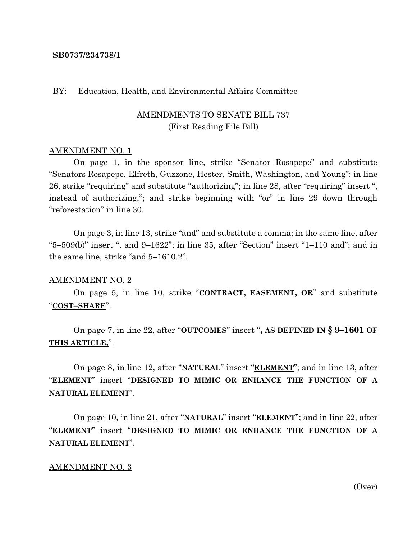#### **SB0737/234738/1**

#### BY: Education, Health, and Environmental Affairs Committee

### AMENDMENTS TO SENATE BILL 737 (First Reading File Bill)

#### AMENDMENT NO. 1

On page 1, in the sponsor line, strike "Senator Rosapepe" and substitute "Senators Rosapepe, Elfreth, Guzzone, Hester, Smith, Washington, and Young"; in line 26, strike "requiring" and substitute "authorizing"; in line 28, after "requiring" insert ", instead of authorizing,"; and strike beginning with "or" in line 29 down through "reforestation" in line 30.

On page 3, in line 13, strike "and" and substitute a comma; in the same line, after "5–509(b)" insert ", and 9–1622"; in line 35, after "Section" insert "1–110 and"; and in the same line, strike "and 5–1610.2".

#### AMENDMENT NO. 2

On page 5, in line 10, strike "**CONTRACT, EASEMENT, OR**" and substitute "**COST–SHARE**".

On page 7, in line 22, after "**OUTCOMES**" insert "**, AS DEFINED IN § 9–1601 OF THIS ARTICLE,**".

On page 8, in line 12, after "**NATURAL**" insert "**ELEMENT**"; and in line 13, after "**ELEMENT**" insert "**DESIGNED TO MIMIC OR ENHANCE THE FUNCTION OF A NATURAL ELEMENT**".

On page 10, in line 21, after "**NATURAL**" insert "**ELEMENT**"; and in line 22, after "**ELEMENT**" insert "**DESIGNED TO MIMIC OR ENHANCE THE FUNCTION OF A NATURAL ELEMENT**".

#### AMENDMENT NO. 3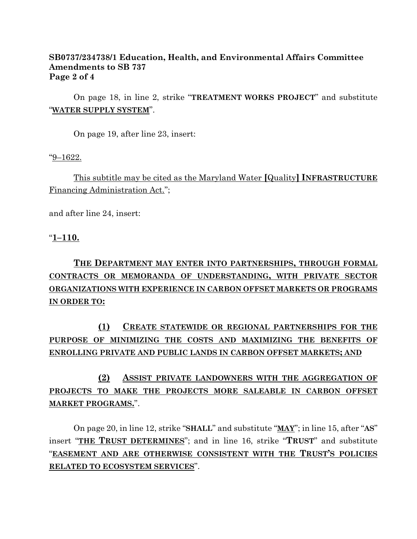### **SB0737/234738/1 Education, Health, and Environmental Affairs Committee Amendments to SB 737 Page 2 of 4**

On page 18, in line 2, strike "**TREATMENT WORKS PROJECT**" and substitute "**WATER SUPPLY SYSTEM**".

On page 19, after line 23, insert:

### "9–1622.

This subtitle may be cited as the Maryland Water **[**Quality**] INFRASTRUCTURE** Financing Administration Act.";

and after line 24, insert:

"**1–110.**

# **THE DEPARTMENT MAY ENTER INTO PARTNERSHIPS, THROUGH FORMAL CONTRACTS OR MEMORANDA OF UNDERSTANDING, WITH PRIVATE SECTOR ORGANIZATIONS WITH EXPERIENCE IN CARBON OFFSET MARKETS OR PROGRAMS IN ORDER TO:**

# **(1) CREATE STATEWIDE OR REGIONAL PARTNERSHIPS FOR THE PURPOSE OF MINIMIZING THE COSTS AND MAXIMIZING THE BENEFITS OF ENROLLING PRIVATE AND PUBLIC LANDS IN CARBON OFFSET MARKETS; AND**

# **(2) ASSIST PRIVATE LANDOWNERS WITH THE AGGREGATION OF PROJECTS TO MAKE THE PROJECTS MORE SALEABLE IN CARBON OFFSET MARKET PROGRAMS.**".

On page 20, in line 12, strike "**SHALL**" and substitute "**MAY**"; in line 15, after "**AS**" insert "**THE TRUST DETERMINES**"; and in line 16, strike "**TRUST**" and substitute "**EASEMENT AND ARE OTHERWISE CONSISTENT WITH THE TRUST'S POLICIES RELATED TO ECOSYSTEM SERVICES**".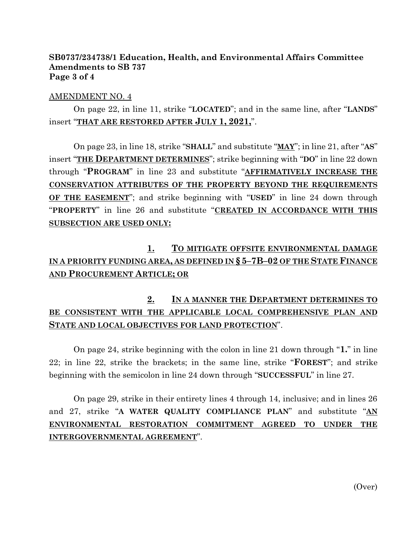### **SB0737/234738/1 Education, Health, and Environmental Affairs Committee Amendments to SB 737 Page 3 of 4**

### AMENDMENT NO. 4

On page 22, in line 11, strike "**LOCATED**"; and in the same line, after "**LANDS**" insert "**THAT ARE RESTORED AFTER JULY 1, 2021,**".

On page 23, in line 18, strike "**SHALL**" and substitute "**MAY**"; in line 21, after "**AS**" insert "**THE DEPARTMENT DETERMINES**"; strike beginning with "**DO**" in line 22 down through "**PROGRAM**" in line 23 and substitute "**AFFIRMATIVELY INCREASE THE CONSERVATION ATTRIBUTES OF THE PROPERTY BEYOND THE REQUIREMENTS OF THE EASEMENT**"; and strike beginning with "**USED**" in line 24 down through "**PROPERTY**" in line 26 and substitute "**CREATED IN ACCORDANCE WITH THIS SUBSECTION ARE USED ONLY:**

# **1. TO MITIGATE OFFSITE ENVIRONMENTAL DAMAGE IN A PRIORITY FUNDING AREA, AS DEFINED IN § 5–7B–02 OF THE STATE FINANCE AND PROCUREMENT ARTICLE; OR**

## **2. IN A MANNER THE DEPARTMENT DETERMINES TO BE CONSISTENT WITH THE APPLICABLE LOCAL COMPREHENSIVE PLAN AND STATE AND LOCAL OBJECTIVES FOR LAND PROTECTION**".

On page 24, strike beginning with the colon in line 21 down through "**1.**" in line 22; in line 22, strike the brackets; in the same line, strike "**FOREST**"; and strike beginning with the semicolon in line 24 down through "**SUCCESSFUL**" in line 27.

On page 29, strike in their entirety lines 4 through 14, inclusive; and in lines 26 and 27, strike "**A WATER QUALITY COMPLIANCE PLAN**" and substitute "**AN ENVIRONMENTAL RESTORATION COMMITMENT AGREED TO UNDER THE INTERGOVERNMENTAL AGREEMENT**".